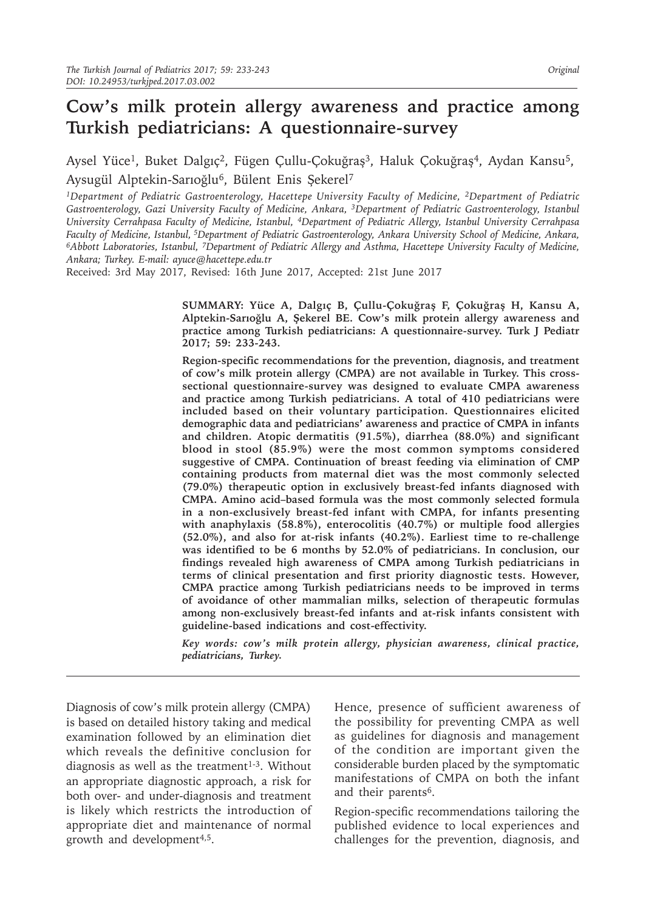# **Cow's milk protein allergy awareness and practice among Turkish pediatricians: A questionnaire-survey**

Aysel Yüce<sup>1</sup>, Buket Dalgıç<sup>2</sup>, Fügen Çullu-Çokuğraş<sup>3</sup>, Haluk Çokuğraş<sup>4</sup>, Aydan Kansu<sup>5</sup>, Aysugül Alptekin-Sarıoğlu<sup>6</sup>, Bülent Enis Şekerel<sup>7</sup>

*1Department of Pediatric Gastroenterology, Hacettepe University Faculty of Medicine, 2Department of Pediatric*  Gastroenterology, Gazi University Faculty of Medicine, Ankara, <sup>3</sup>Department of Pediatric Gastroenterology, Istanbul *University Cerrahpasa Faculty of Medicine, Istanbul, 4Department of Pediatric Allergy, Istanbul University Cerrahpasa Faculty of Medicine, Istanbul, 5Department of Pediatric Gastroenterology, Ankara University School of Medicine, Ankara, 6Abbott Laboratories, Istanbul, 7Department of Pediatric Allergy and Asthma, Hacettepe University Faculty of Medicine, Ankara; Turkey. E-mail: ayuce@hacettepe.edu.tr*

Received: 3rd May 2017, Revised: 16th June 2017, Accepted: 21st June 2017

**SUMMARY: Yüce A, Dalgıç B, Çullu-Çokuğraş F, Çokuğraş H, Kansu A, Alptekin-Sarıoğlu A, Şekerel BE. Cow's milk protein allergy awareness and practice among Turkish pediatricians: A questionnaire-survey. Turk J Pediatr 2017; 59: 233-243.**

**Region-specific recommendations for the prevention, diagnosis, and treatment of cow's milk protein allergy (CMPA) are not available in Turkey. This crosssectional questionnaire-survey was designed to evaluate CMPA awareness and practice among Turkish pediatricians. A total of 410 pediatricians were included based on their voluntary participation. Questionnaires elicited demographic data and pediatricians' awareness and practice of CMPA in infants and children. Atopic dermatitis (91.5%), diarrhea (88.0%) and significant blood in stool (85.9%) were the most common symptoms considered suggestive of CMPA. Continuation of breast feeding via elimination of CMP containing products from maternal diet was the most commonly selected (79.0%) therapeutic option in exclusively breast-fed infants diagnosed with CMPA. Amino acid–based formula was the most commonly selected formula in a non-exclusively breast-fed infant with CMPA, for infants presenting with anaphylaxis (58.8%), enterocolitis (40.7%) or multiple food allergies (52.0%), and also for at-risk infants (40.2%). Earliest time to re-challenge was identified to be 6 months by 52.0% of pediatricians. In conclusion, our findings revealed high awareness of CMPA among Turkish pediatricians in terms of clinical presentation and first priority diagnostic tests. However, CMPA practice among Turkish pediatricians needs to be improved in terms of avoidance of other mammalian milks, selection of therapeutic formulas among non-exclusively breast-fed infants and at-risk infants consistent with guideline-based indications and cost-effectivity.**

*Key words: cow's milk protein allergy, physician awareness, clinical practice, pediatricians, Turkey.*

Diagnosis of cow's milk protein allergy (CMPA) is based on detailed history taking and medical examination followed by an elimination diet which reveals the definitive conclusion for diagnosis as well as the treatment<sup>1-3</sup>. Without an appropriate diagnostic approach, a risk for both over- and under-diagnosis and treatment is likely which restricts the introduction of appropriate diet and maintenance of normal growth and development<sup>4,5</sup>.

Hence, presence of sufficient awareness of the possibility for preventing CMPA as well as guidelines for diagnosis and management of the condition are important given the considerable burden placed by the symptomatic manifestations of CMPA on both the infant and their parents<sup>6</sup>.

Region-specific recommendations tailoring the published evidence to local experiences and challenges for the prevention, diagnosis, and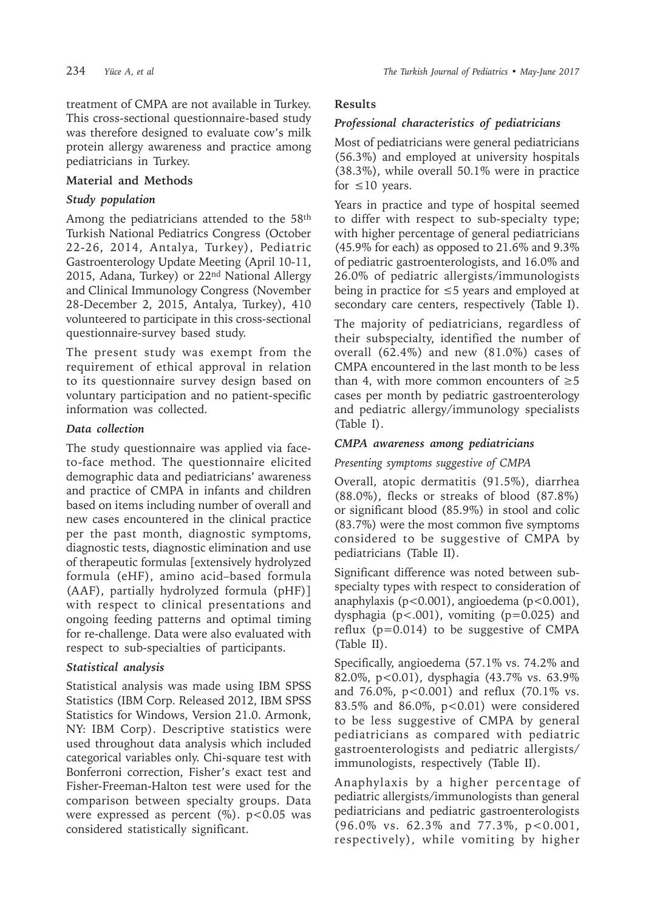treatment of CMPA are not available in Turkey. This cross-sectional questionnaire-based study was therefore designed to evaluate cow's milk protein allergy awareness and practice among pediatricians in Turkey.

# **Material and Methods**

# *Study population*

Among the pediatricians attended to the 58<sup>th</sup> Turkish National Pediatrics Congress (October 22-26, 2014, Antalya, Turkey), Pediatric Gastroenterology Update Meeting (April 10-11, 2015, Adana, Turkey) or 22<sup>nd</sup> National Allergy and Clinical Immunology Congress (November 28-December 2, 2015, Antalya, Turkey), 410 volunteered to participate in this cross-sectional questionnaire-survey based study.

The present study was exempt from the requirement of ethical approval in relation to its questionnaire survey design based on voluntary participation and no patient-specific information was collected.

# *Data collection*

The study questionnaire was applied via faceto-face method. The questionnaire elicited demographic data and pediatricians' awareness and practice of CMPA in infants and children based on items including number of overall and new cases encountered in the clinical practice per the past month, diagnostic symptoms, diagnostic tests, diagnostic elimination and use of therapeutic formulas [extensively hydrolyzed formula (eHF), amino acid–based formula (AAF), partially hydrolyzed formula (pHF)] with respect to clinical presentations and ongoing feeding patterns and optimal timing for re-challenge. Data were also evaluated with respect to sub-specialties of participants.

# *Statistical analysis*

Statistical analysis was made using IBM SPSS Statistics (IBM Corp. Released 2012, IBM SPSS Statistics for Windows, Version 21.0. Armonk, NY: IBM Corp). Descriptive statistics were used throughout data analysis which included categorical variables only. Chi-square test with Bonferroni correction, Fisher's exact test and Fisher-Freeman-Halton test were used for the comparison between specialty groups. Data were expressed as percent  $(\%)$ . p<0.05 was considered statistically significant.

# **Results**

# *Professional characteristics of pediatricians*

Most of pediatricians were general pediatricians (56.3%) and employed at university hospitals (38.3%), while overall 50.1% were in practice for  $\leq 10$  years.

Years in practice and type of hospital seemed to differ with respect to sub-specialty type; with higher percentage of general pediatricians (45.9% for each) as opposed to 21.6% and 9.3% of pediatric gastroenterologists, and 16.0% and 26.0% of pediatric allergists/immunologists being in practice for  $\leq$  5 years and employed at secondary care centers, respectively (Table I).

The majority of pediatricians, regardless of their subspecialty, identified the number of overall (62.4%) and new (81.0%) cases of CMPA encountered in the last month to be less than 4, with more common encounters of  $\geq 5$ cases per month by pediatric gastroenterology and pediatric allergy/immunology specialists (Table I).

# *CMPA awareness among pediatricians*

### *Presenting symptoms suggestive of CMPA*

Overall, atopic dermatitis (91.5%), diarrhea (88.0%), flecks or streaks of blood (87.8%) or significant blood (85.9%) in stool and colic (83.7%) were the most common five symptoms considered to be suggestive of CMPA by pediatricians (Table II).

Significant difference was noted between subspecialty types with respect to consideration of anaphylaxis (p<0.001), angioedema (p<0.001), dysphagia ( $p < .001$ ), vomiting ( $p = 0.025$ ) and reflux  $(p=0.014)$  to be suggestive of CMPA (Table II).

Specifically, angioedema (57.1% vs. 74.2% and 82.0%, p<0.01), dysphagia (43.7% vs. 63.9% and 76.0%, p<0.001) and reflux (70.1% vs. 83.5% and 86.0%, p<0.01) were considered to be less suggestive of CMPA by general pediatricians as compared with pediatric gastroenterologists and pediatric allergists/ immunologists, respectively (Table II).

Anaphylaxis by a higher percentage of pediatric allergists/immunologists than general pediatricians and pediatric gastroenterologists (96.0% vs. 62.3% and 77.3%, p<0.001, respectively), while vomiting by higher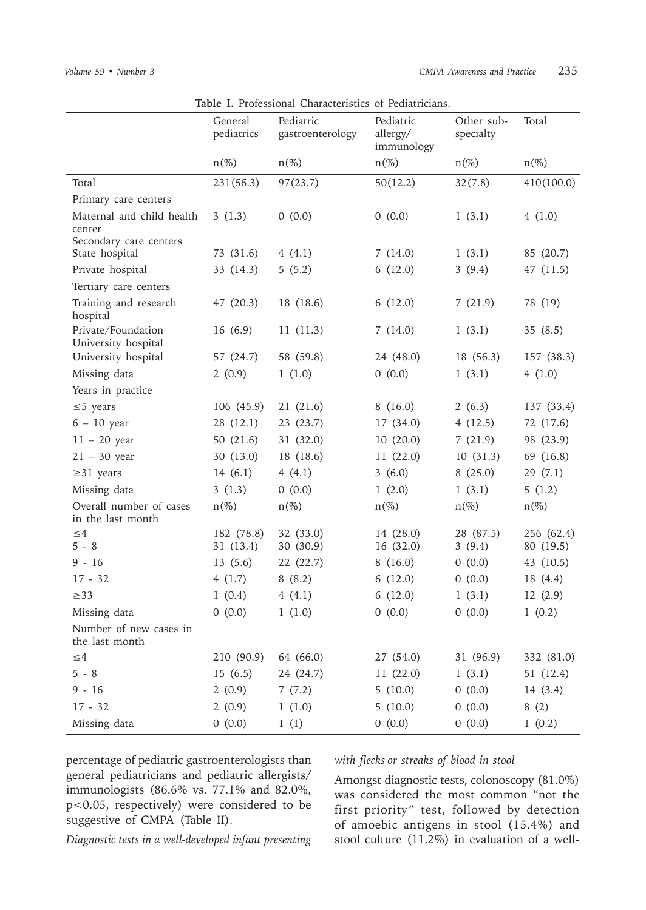|                                              | General<br>pediatrics  | Pediatric<br>gastroenterology | Pediatric<br>allergy/<br>immunology | Other sub-<br>specialty | Total                   |
|----------------------------------------------|------------------------|-------------------------------|-------------------------------------|-------------------------|-------------------------|
|                                              | $n(\%)$                | $n(\%)$                       | $n(\%)$                             | $n(\%)$                 | $n(\%)$                 |
| Total                                        | 231(56.3)              | 97(23.7)                      | 50(12.2)                            | 32(7.8)                 | 410(100.0)              |
| Primary care centers                         |                        |                               |                                     |                         |                         |
| Maternal and child health<br>center          | 3(1.3)                 | 0(0.0)                        | 0(0.0)                              | 1(3.1)                  | 4(1.0)                  |
| Secondary care centers<br>State hospital     | 73 (31.6)              | 4 $(4.1)$                     | 7(14.0)                             | 1(3.1)                  | 85 (20.7)               |
| Private hospital                             | 33 (14.3)              | 5(5.2)                        | 6(12.0)                             | 3(9.4)                  | 47 (11.5)               |
| Tertiary care centers                        |                        |                               |                                     |                         |                         |
| Training and research<br>hospital            | 47 (20.3)              | 18 (18.6)                     | 6(12.0)                             | 7(21.9)                 | 78 (19)                 |
| Private/Foundation<br>University hospital    | 16(6.9)                | 11(11.3)                      | 7(14.0)                             | 1(3.1)                  | 35(8.5)                 |
| University hospital                          | 57 (24.7)              | 58 (59.8)                     | 24 (48.0)                           | 18 (56.3)               | 157 (38.3)              |
| Missing data                                 | 2(0.9)                 | 1(1.0)                        | 0(0.0)                              | 1(3.1)                  | 4(1.0)                  |
| Years in practice                            |                        |                               |                                     |                         |                         |
| $\leq$ 5 years                               | 106 (45.9)             | 21(21.6)                      | 8(16.0)                             | 2(6.3)                  | 137 (33.4)              |
| $6 - 10$ year                                | 28 (12.1)              | 23(23.7)                      | 17 (34.0)                           | 4(12.5)                 | 72 (17.6)               |
| $11 - 20$ year                               | 50 $(21.6)$            | 31 (32.0)                     | 10(20.0)                            | 7(21.9)                 | 98 (23.9)               |
| $21 - 30$ year                               | 30(13.0)               | 18 (18.6)                     | 11(22.0)                            | 10(31.3)                | 69 (16.8)               |
| $\geq$ 31 years                              | 14(6.1)                | 4(4.1)                        | 3(6.0)                              | 8(25.0)                 | 29(7.1)                 |
| Missing data                                 | 3(1.3)                 | 0(0.0)                        | 1(2.0)                              | 1(3.1)                  | 5(1.2)                  |
| Overall number of cases<br>in the last month | $n(\%)$                | $n(\%)$                       | $n(\%)$                             | $n(\%)$                 | $n(\%)$                 |
| ${\leq}4$<br>$5 - 8$                         | 182 (78.8)<br>31(13.4) | 32 (33.0)<br>30 (30.9)        | 14 (28.0)<br>16 (32.0)              | 28 (87.5)<br>3(9.4)     | 256 (62.4)<br>80 (19.5) |
| $9 - 16$                                     | 13(5.6)                | 22(22.7)                      | 8(16.0)                             | 0(0.0)                  | 43 (10.5)               |
| $17 - 32$                                    | 4(1.7)                 | 8(8.2)                        | 6(12.0)                             | 0(0.0)                  | 18 (4.4)                |
| $\geq$ 33                                    | 1(0.4)                 | 4(4.1)                        | 6(12.0)                             | 1(3.1)                  | 12(2.9)                 |
| Missing data                                 | 0(0.0)                 | 1(1.0)                        | 0(0.0)                              | 0(0.0)                  | 1(0.2)                  |
| Number of new cases in<br>the last month     |                        |                               |                                     |                         |                         |
| ${\leq}4$                                    | 210 (90.9)             | 64 (66.0)                     | 27 (54.0)                           | 31 (96.9)               | 332 (81.0)              |
| $5 - 8$                                      | 15(6.5)                | 24 (24.7)                     | 11(22.0)                            | 1(3.1)                  | 51 (12.4)               |
| $9 - 16$                                     | 2(0.9)                 | 7(7.2)                        | 5(10.0)                             | 0(0.0)                  | 14 (3.4)                |
| $17 - 32$                                    | 2(0.9)                 | 1(1.0)                        | 5(10.0)                             | 0(0.0)                  | 8(2)                    |
| Missing data                                 | 0(0.0)                 | 1(1)                          | 0(0.0)                              | 0(0.0)                  | 1(0.2)                  |

**Table I.** Professional Characteristics of Pediatricians.

percentage of pediatric gastroenterologists than general pediatricians and pediatric allergists/ immunologists (86.6% vs. 77.1% and 82.0%, p<0.05, respectively) were considered to be suggestive of CMPA (Table II).

*with flecks or streaks of blood in stool*

Amongst diagnostic tests, colonoscopy (81.0%) was considered the most common "not the first priority" test, followed by detection of amoebic antigens in stool (15.4%) and stool culture (11.2%) in evaluation of a well-

*Diagnostic tests in a well-developed infant presenting*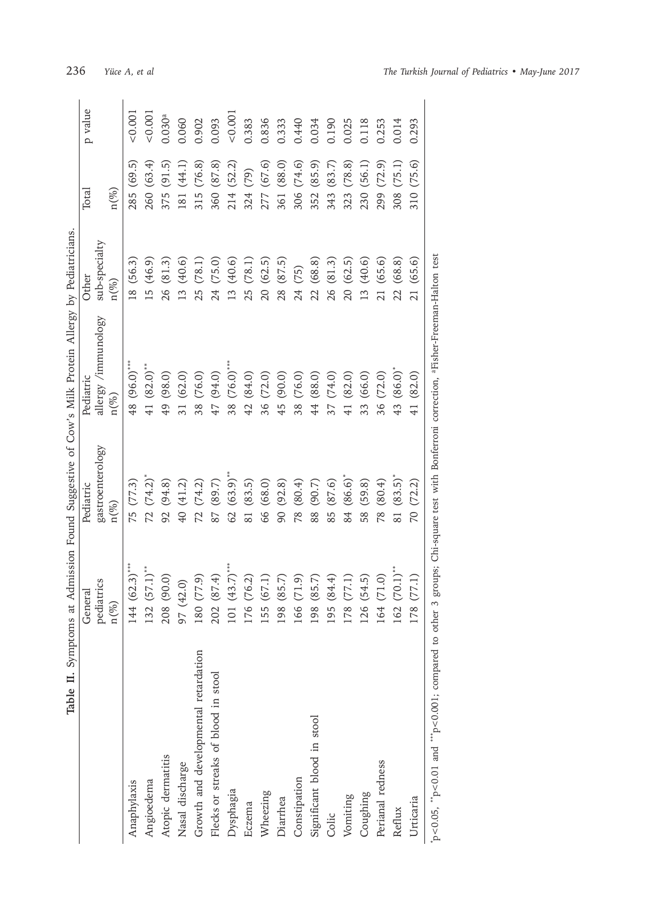| Table II. Symptoms                                                                                                                 |                 |                                    | at Admission Found Suggestive of Cow's Milk Protein Allergy by Pediatricians |               |               |         |
|------------------------------------------------------------------------------------------------------------------------------------|-----------------|------------------------------------|------------------------------------------------------------------------------|---------------|---------------|---------|
|                                                                                                                                    | General         | Pediatric                          | Pediatric                                                                    | Other         | Total         | p value |
|                                                                                                                                    | pediatrics      | gastroenterology                   | allergy /immunology                                                          | sub-specialty |               |         |
|                                                                                                                                    | $n (\%)$        | $n (\%)$                           | $n (\%)$                                                                     | $n({\%})$     | $n(\%)$       |         |
| Anaphylaxis                                                                                                                        | 44 (62.3)**     | 75 (77.3)                          | 48 (96.0)***                                                                 | 18(56.3)      | 285 (69.5)    | < 0.001 |
| Angioedema                                                                                                                         | $32(57.1)$ **   | $72 (74.2)^*$                      | 41 $(82.0)$ <sup>**</sup>                                                    | 15 (46.9)     | 260 (63.4)    | 0.001   |
| Atopic dermatitis                                                                                                                  | 208 (90.0)      | 92 (94.8)                          | 49 (98.0)                                                                    | 26 (81.3)     | 375 (91.5)    | 0.030a  |
| Nasal discharge                                                                                                                    | 97 (42.0)       | 40 (41.2)                          | 31 (62.0)                                                                    | 13 (40.6)     | 181 (44.1)    | 0.060   |
| Growth and developmental retardation                                                                                               | 80 (77.9)       | 72(74.2)                           | 38 (76.0)                                                                    | 25 (78.1)     | 315 (76.8)    | 0.902   |
| Flecks or streaks of blood in stool                                                                                                | .02(87.4)       | 87 (89.7)                          | 47 (94.0)                                                                    | 24 (75.0)     | 360 (87.8)    | 0.093   |
| Dysphagia                                                                                                                          | 01 $(43.7)$ *** | 62(63.9)                           | 38 (76.0) ***                                                                | (40.6)<br>13  | 214 (52.2)    | < 0.001 |
| Eczema                                                                                                                             | 76 (76.2)       | 81 (83.5)                          | 42 (84.0)                                                                    | 25 (78.1)     | 324 (79)      | 0.383   |
| Wheezing                                                                                                                           | .55(67.1)       | 66 (68.0)                          | 36 (72.0)                                                                    | 20(62.5)      | 277 (67.6)    | 0.836   |
| Diarrhea                                                                                                                           | 98 (85.7)       | 90 (92.8)                          | 45 (90.0)                                                                    | (87.5)<br>28  | (88.0)<br>361 | 0.333   |
| Constipation                                                                                                                       | 66 (71.9)       | 78 (80.4)                          | 38 (76.0)                                                                    | (75)<br>24    | 306 (74.6)    | 0.440   |
| Significant blood in stool                                                                                                         | 98 (85.7)       | 88 (90.7)                          | 44 (88.0)                                                                    | (68.8)<br>22  | 352 (85.9)    | 0.034   |
| Colic                                                                                                                              | 95 (84.4)       | 85 (87.6)                          | 37 (74.0)                                                                    | (81.3)<br>26  | (83.7)<br>343 | 0.190   |
| Vomiting                                                                                                                           | 78(77.1)        | 84 (86.6)                          | 41 (82.0)                                                                    | 20(62.5)      | (78.8)<br>323 | 0.025   |
| Coughing                                                                                                                           | .26(54.5)       | 58 (59.8)                          | 33 (66.0)                                                                    | (40.6)<br>13  | 230 (56.1)    | 0.118   |
| Perianal redness                                                                                                                   | 64 (71.0)       | 78 (80.4)                          | 36 (72.0)                                                                    | 21 (65.6)     | (72.9)<br>299 | 0.253   |
| Reflux                                                                                                                             | 62(70.1)        | $81 (83.5)^*$                      | 43 (86.0)                                                                    | 22(68.8)      | (75.1)<br>308 | 0.014   |
| Urticaria                                                                                                                          | 78(77.1)        | (72.2)<br>$\overline{\mathcal{L}}$ | 41 (82.0)                                                                    | (65.6)<br>21  | (75.6)<br>310 | 0.293   |
| p<0.05, "p<0.01 and ""p<0.001; compared to other 3 groups; Chi-square test with Bonferroni correction, aFisher-Freeman-Halton test |                 |                                    |                                                                              |               |               |         |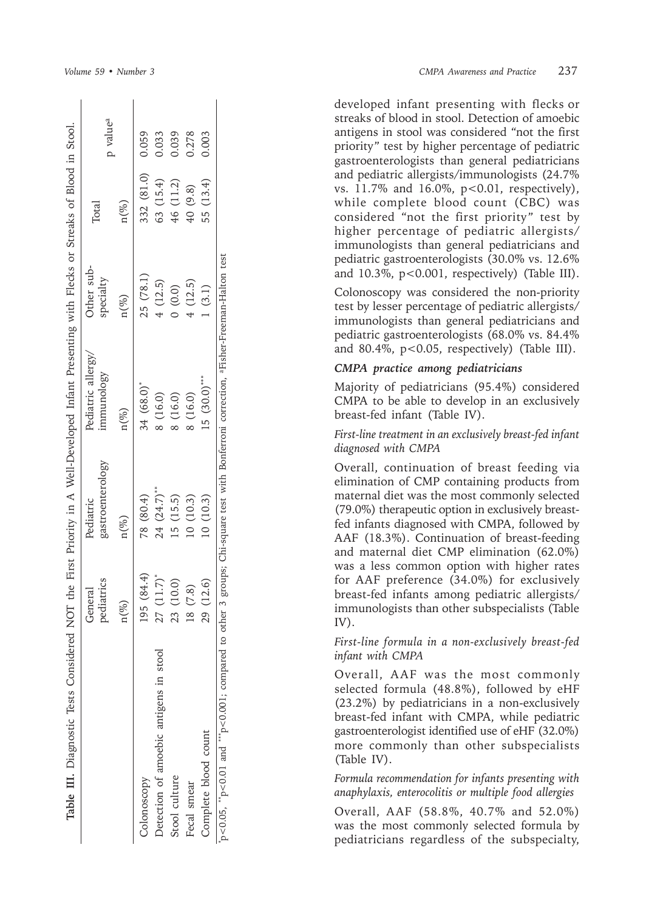| Table III. Diagnostic Tests Considered NOT the First Priority in A Well-Developed Infant Presenting with Flecks or Streaks of Blood in Stool.  |                       |                               |                                |                         |            |                      |
|------------------------------------------------------------------------------------------------------------------------------------------------|-----------------------|-------------------------------|--------------------------------|-------------------------|------------|----------------------|
|                                                                                                                                                | pediatrics<br>General | gastroenterology<br>Pediatric | Pediatric allergy<br>mmunology | Other sub-<br>specialty | Total      | p value <sup>a</sup> |
|                                                                                                                                                | $n (\%)$              | $n (\%)$                      | $n (\%)$                       | $n(\%)$                 | $n (\%)$   |                      |
| Colonoscopy                                                                                                                                    | 195(84.4)             | 78 (80.4)                     | 34 (68.0)*                     | 25 (78.1)               | 332 (81.0) | 0.059                |
| Detection of amoebic antigens in stool                                                                                                         | 27(11.7)              | 24 (24.7)**                   | 8 (16.0)                       | 4(12.5)                 | 63 (15.4)  | 0.033                |
| Stool culture                                                                                                                                  | 23 (10.0)             | .5(15.5)                      | (16.0)                         | (0.0)                   | 46 (11.2)  | 0.039                |
| Fecal smear                                                                                                                                    | 18 (7.8)              | 10(10.3)                      | 8 (16.0)                       | 4(12.5)                 | 40 (9.8)   | 0.278                |
| Complete blood count                                                                                                                           | 29 (12.6)             | 10(10.3)                      | $15(30.0)$ ***                 | (3.1)                   | 55 (13.4)  | 0.003                |
| p<0.05, "p<0.01 and ""p<0.001; compared to other 3 groups; Chi-square test with Bonferroni correction, <sup>a</sup> Fisher-Freeman-Halton test |                       |                               |                                |                         |            |                      |

*Volume 59 • Number*

developed infant presenting with flecks or streaks of blood in stool. Detection of amoebic antigens in stool was considered "not the first priority" test by higher percentage of pediatric gastroenterologists than general pediatricians and pediatric allergists/immunologists (24.7% vs. 11.7% and 16.0%, p<0.01, respectively), while complete blood count (CBC) was considered "not the first priority" test by higher percentage of pediatric allergists/ immunologists than general pediatricians and pediatric gastroenterologists (30.0% vs. 12.6% and  $10.3\%$ ,  $p<0.001$ , respectively) (Table III).

Colonoscopy was considered the non-priority test by lesser percentage of pediatric allergists/ immunologists than general pediatricians and pediatric gastroenterologists (68.0% vs. 84.4% and 80.4%,  $p < 0.05$ , respectively) (Table III).

#### *CMPA practice among pediatricians*

Majority of pediatricians (95.4%) considered CMPA to be able to develop in an exclusively breast-fed infant (Table IV).

#### *First-line treatment in an exclusively breast-fed infant diagnosed with CMPA*

Overall, continuation of breast feeding via elimination of CMP containing products from maternal diet was the most commonly selected (79.0%) therapeutic option in exclusively breastfed infants diagnosed with CMPA, followed by AAF (18.3%). Continuation of breast-feeding and maternal diet CMP elimination (62.0%) was a less common option with higher rates for AAF preference (34.0%) for exclusively breast-fed infants among pediatric allergists/ immunologists than other subspecialists (Table IV).

#### *First-line formula in a non-exclusively breast-fed infant with CMPA*

Overall, AAF was the most commonly selected formula (48.8%), followed by eHF (23.2%) by pediatricians in a non-exclusively breast-fed infant with CMPA, while pediatric gastroenterologist identified use of eHF (32.0%) more commonly than other subspecialists (Table IV).

*Formula recommendation for infants presenting with anaphylaxis, enterocolitis or multiple food allergies*

Overall, AAF (58.8%, 40.7% and 52.0%) was the most commonly selected formula by pediatricians regardless of the subspecialty,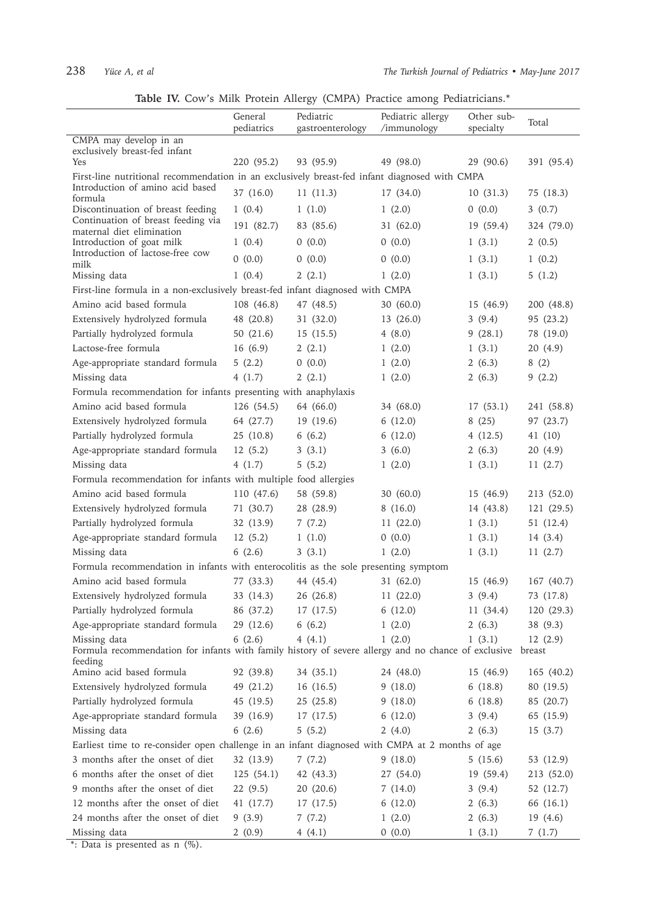|  |  |  |  |  |  |  |  | Table IV. Cow's Milk Protein Allergy (CMPA) Practice among Pediatricians.* |
|--|--|--|--|--|--|--|--|----------------------------------------------------------------------------|
|--|--|--|--|--|--|--|--|----------------------------------------------------------------------------|

|                                                                                                                                   | $\frac{1}{2}$<br>General<br>pediatrics | Pediatric<br>gastroenterology | Pediatric allergy<br>/immunology | Other sub-<br>specialty | Total      |
|-----------------------------------------------------------------------------------------------------------------------------------|----------------------------------------|-------------------------------|----------------------------------|-------------------------|------------|
| CMPA may develop in an                                                                                                            |                                        |                               |                                  |                         |            |
| exclusively breast-fed infant<br>Yes                                                                                              | 220 (95.2)                             | 93 (95.9)                     | 49 (98.0)                        | 29 (90.6)               |            |
|                                                                                                                                   |                                        |                               |                                  |                         | 391 (95.4) |
| First-line nutritional recommendation in an exclusively breast-fed infant diagnosed with CMPA<br>Introduction of amino acid based |                                        |                               |                                  |                         |            |
| formula                                                                                                                           | 37 (16.0)                              | 11(11.3)                      | 17(34.0)                         | 10(31.3)                | 75 (18.3)  |
| Discontinuation of breast feeding<br>Continuation of breast feeding via                                                           | 1(0.4)                                 | 1(1.0)                        | 1(2.0)                           | 0(0.0)                  | 3(0.7)     |
| maternal diet elimination                                                                                                         | 191 (82.7)                             | 83 (85.6)                     | 31 (62.0)                        | 19(59.4)                | 324 (79.0) |
| Introduction of goat milk                                                                                                         | 1(0.4)                                 | 0(0.0)                        | 0(0.0)                           | 1(3.1)                  | 2(0.5)     |
| Introduction of lactose-free cow<br>milk                                                                                          | 0(0.0)                                 | 0(0.0)                        | 0(0.0)                           | 1(3.1)                  | 1(0.2)     |
| Missing data                                                                                                                      | 1(0.4)                                 | 2(2.1)                        | 1(2.0)                           | 1(3.1)                  | 5(1.2)     |
| First-line formula in a non-exclusively breast-fed infant diagnosed with CMPA                                                     |                                        |                               |                                  |                         |            |
| Amino acid based formula                                                                                                          | 108 (46.8)                             | 47 (48.5)                     | 30(60.0)                         | 15(46.9)                | 200 (48.8) |
| Extensively hydrolyzed formula                                                                                                    | 48 (20.8)                              | 31 (32.0)                     | 13(26.0)                         | 3(9.4)                  | 95 (23.2)  |
| Partially hydrolyzed formula                                                                                                      | 50 (21.6)                              | 15(15.5)                      | 4(8.0)                           | 9(28.1)                 | 78 (19.0)  |
| Lactose-free formula                                                                                                              | 16(6.9)                                | 2(2.1)                        | 1(2.0)                           | 1(3.1)                  | 20(4.9)    |
| Age-appropriate standard formula                                                                                                  | 5(2.2)                                 | 0(0.0)                        | 1(2.0)                           | 2(6.3)                  | 8(2)       |
| Missing data                                                                                                                      | 4(1.7)                                 | 2(2.1)                        | 1(2.0)                           | 2(6.3)                  | 9(2.2)     |
| Formula recommendation for infants presenting with anaphylaxis                                                                    |                                        |                               |                                  |                         |            |
| Amino acid based formula                                                                                                          | 126 (54.5)                             | 64 (66.0)                     | 34 (68.0)                        | 17(53.1)                | 241 (58.8) |
| Extensively hydrolyzed formula 64 (27.7)                                                                                          |                                        | 19(19.6)                      | 6(12.0)                          | 8(25)                   | 97 (23.7)  |
| Partially hydrolyzed formula                                                                                                      | 25 (10.8)                              | 6(6.2)                        | 6(12.0)                          | 4(12.5)                 | 41 (10)    |
| Age-appropriate standard formula                                                                                                  | 12(5.2)                                | 3(3.1)                        | 3(6.0)                           | 2(6.3)                  | 20 (4.9)   |
| Missing data                                                                                                                      | 4(1.7)                                 | 5(5.2)                        | 1(2.0)                           | 1(3.1)                  | 11(2.7)    |
| Formula recommendation for infants with multiple food allergies                                                                   |                                        |                               |                                  |                         |            |
| Amino acid based formula                                                                                                          | 110 (47.6)                             | 58 (59.8)                     | 30(60.0)                         | 15(46.9)                | 213 (52.0) |
| Extensively hydrolyzed formula                                                                                                    | 71 (30.7)                              | 28 (28.9)                     | 8(16.0)                          | 14 (43.8)               | 121 (29.5) |
| Partially hydrolyzed formula                                                                                                      | 32(13.9)                               | 7(7.2)                        | 11(22.0)                         | 1(3.1)                  | 51(12.4)   |
| Age-appropriate standard formula                                                                                                  | 12(5.2)                                | 1(1.0)                        | 0(0.0)                           | 1(3.1)                  | 14(3.4)    |
| Missing data                                                                                                                      | 6(2.6)                                 | 3(3.1)                        | 1(2.0)                           | 1(3.1)                  | 11(2.7)    |
| Formula recommendation in infants with enterocolitis as the sole presenting symptom                                               |                                        |                               |                                  |                         |            |
| Amino acid based formula                                                                                                          | 77 (33.3)                              | 44 (45.4)                     | 31(62.0)                         | 15 (46.9)               | 167 (40.7) |
| Extensively hydrolyzed formula                                                                                                    | 33 (14.3)                              | 26(26.8)                      | 11(22.0)                         | 3(9.4)                  | 73 (17.8)  |
| Partially hydrolyzed formula                                                                                                      | 86 (37.2)                              | 17(17.5)                      | 6(12.0)                          | 11(34.4)                | 120(29.3)  |
| Age-appropriate standard formula                                                                                                  |                                        | 29 (12.6) 6 (6.2)             | 1(2.0)                           | 2(6.3)                  | 38 (9.3)   |
| Missing data                                                                                                                      | 6(2.6)                                 | 4(4.1)                        | 1(2.0)                           | 1(3.1)                  | 12(2.9)    |
| Formula recommendation for infants with family history of severe allergy and no chance of exclusive breast<br>feeding             |                                        |                               |                                  |                         |            |
| Amino acid based formula                                                                                                          | 92 (39.8)                              | 34 (35.1)                     | 24 (48.0)                        | 15 (46.9)               | 165 (40.2) |
| Extensively hydrolyzed formula                                                                                                    | 49 (21.2)                              | 16 (16.5)                     | 9(18.0)                          | 6(18.8)                 | 80 (19.5)  |
| Partially hydrolyzed formula                                                                                                      | 45 (19.5)                              | 25(25.8)                      | 9(18.0)                          | 6(18.8)                 | 85 (20.7)  |
| Age-appropriate standard formula                                                                                                  | 39 (16.9)                              | 17(17.5)                      | 6(12.0)                          | 3(9.4)                  | 65 (15.9)  |
| Missing data                                                                                                                      | 6(2.6)                                 | 5(5.2)                        | 2(4.0)                           | 2(6.3)                  | 15(3.7)    |
| Earliest time to re-consider open challenge in an infant diagnosed with CMPA at 2 months of age                                   |                                        |                               |                                  |                         |            |
| 3 months after the onset of diet                                                                                                  | 32 (13.9)                              | 7(7.2)                        | 9(18.0)                          | 5(15.6)                 | 53 (12.9)  |
| 6 months after the onset of diet                                                                                                  | 125(54.1)                              | 42 (43.3)                     | 27 (54.0)                        | 19 (59.4)               | 213 (52.0) |
| 9 months after the onset of diet                                                                                                  | 22(9.5)                                | 20(20.6)                      | 7(14.0)                          | 3(9.4)                  | 52 (12.7)  |
| 12 months after the onset of diet                                                                                                 | 41 (17.7)                              | 17(17.5)                      | 6(12.0)                          | 2(6.3)                  | 66 (16.1)  |
| 24 months after the onset of diet                                                                                                 | 9(3.9)                                 | 7(7.2)                        | 1(2.0)                           | 2(6.3)                  | 19 (4.6)   |
| Missing data                                                                                                                      | 2(0.9)                                 | 4(4.1)                        | 0(0.0)                           | 1(3.1)                  | 7(1.7)     |

\*: Data is presented as n  $(\%)$ .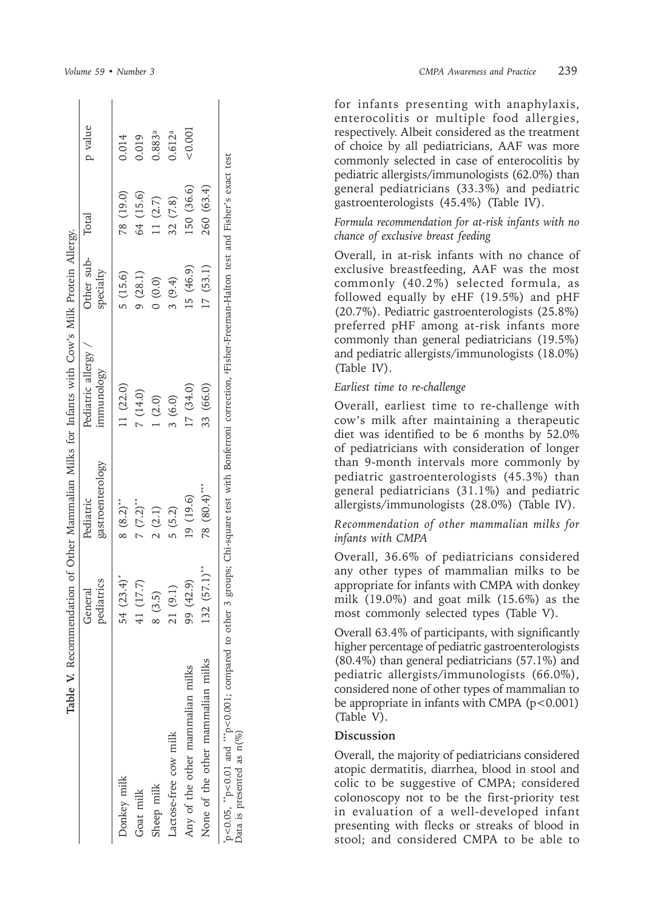|                                   | ediatrics<br>Feneral | gastroenterology<br>Pediatric | Pediatric allergy<br>mmunology | Other sub-<br>specialty | Total      | p value            |
|-----------------------------------|----------------------|-------------------------------|--------------------------------|-------------------------|------------|--------------------|
| Donkey milk                       | 54 $(23.4)^*$        | $8(8.2)$ <sup>**</sup>        | 11 (22.0)                      | 5(15.6)                 | 78 (19.0)  | 0.014              |
| Goat milk                         | 11(17.7)             | $7(7.2)$ **                   | 7(14.0)                        | 9(28.1)                 | 64 (15.6)  | 0.019              |
| Sheep milk                        | (3.5)                | 2(2.1)                        | (2.0)                          | (0.0)                   | (1 (2.7))  | 0.883ª             |
| Lactose-free cow milk             | 21(9.1)              | 5(5.2)                        | 3(6.0)                         | 3(9.4)                  | 32(7.8)    | 0.612 <sup>a</sup> |
| Any of the other mammalian milks  | 99 (42.9)            | 19 (19.6)                     | 17(34.0)                       | 15(46.9)                | 150 (36.6) | &0.001             |
| None of the other mammalian milks | $(32 (57.1)^{**}$    | 78 (80.4)***                  | 33 (66.0)                      | 17(53.1)                | 260 (63.4) |                    |

for infants presenting with anaphylaxis, enterocolitis or multiple food allergies, respectively. Albeit considered as the treatment of choice by all pediatricians, AAF was more commonly selected in case of enterocolitis by pediatric allergists/immunologists (62.0%) than general pediatricians (33.3%) and pediatric gastroenterologists (45.4%) (Table IV).

#### *Formula recommendation for at-risk infants with no chance of exclusive breast feeding*

Overall, in at-risk infants with no chance of exclusive breastfeeding, AAF was the most commonly (40.2%) selected formula, as followed equally by eHF (19.5%) and pHF (20.7%). Pediatric gastroenterologists (25.8%) preferred pHF among at-risk infants more commonly than general pediatricians (19.5%) and pediatric allergists/immunologists (18.0%) (Table IV).

#### *Earliest time to re-challenge*

Overall, earliest time to re-challenge with cow's milk after maintaining a therapeutic diet was identified to be 6 months by 52.0% of pediatricians with consideration of longer than 9-month intervals more commonly by pediatric gastroenterologists (45.3%) than general pediatricians (31.1%) and pediatric allergists/immunologists (28.0%) (Table IV).

*Recommendation of other mammalian milks for infants with CMPA*

Overall, 36.6% of pediatricians considered any other types of mammalian milks to be appropriate for infants with CMPA with donkey milk (19.0%) and goat milk (15.6%) as the most commonly selected types (Table V).

Overall 63.4% of participants, with significantly higher percentage of pediatric gastroenterologists (80.4%) than general pediatricians (57.1%) and pediatric allergists/immunologists (66.0%), considered none of other types of mammalian to be appropriate in infants with CMPA  $(p<0.001)$ (Table V).

## **Discussion**

Overall, the majority of pediatricians considered atopic dermatitis, diarrhea, blood in stool and colic to be suggestive of CMPA; considered colonoscopy not to be the first-priority test in evaluation of a well-developed infant presenting with flecks or streaks of blood in stool; and considered CMPA to be able to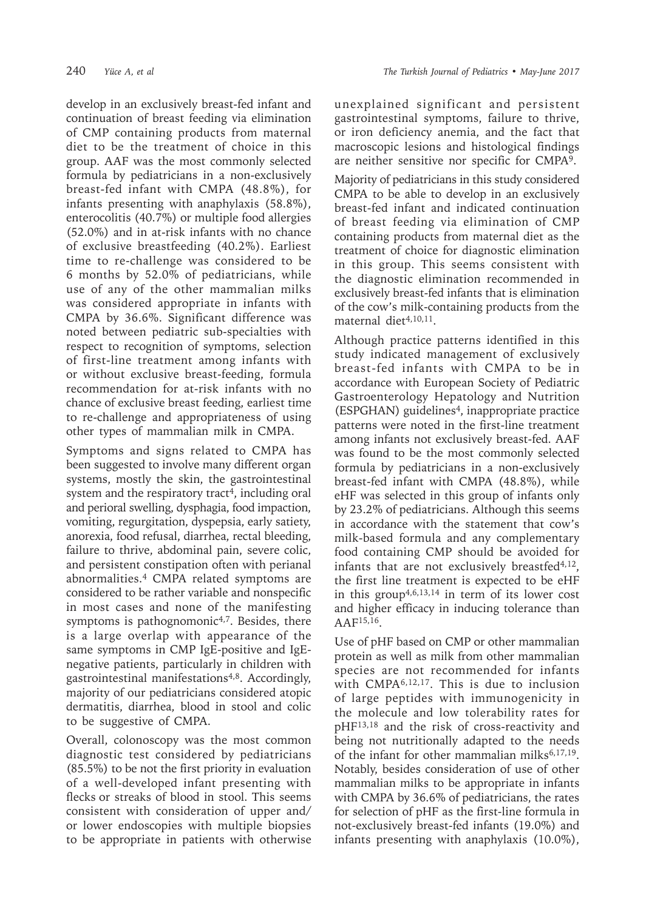develop in an exclusively breast-fed infant and continuation of breast feeding via elimination of CMP containing products from maternal diet to be the treatment of choice in this group. AAF was the most commonly selected formula by pediatricians in a non-exclusively breast-fed infant with CMPA (48.8%), for infants presenting with anaphylaxis (58.8%), enterocolitis (40.7%) or multiple food allergies (52.0%) and in at-risk infants with no chance of exclusive breastfeeding (40.2%). Earliest time to re-challenge was considered to be 6 months by 52.0% of pediatricians, while use of any of the other mammalian milks was considered appropriate in infants with CMPA by 36.6%. Significant difference was noted between pediatric sub-specialties with respect to recognition of symptoms, selection of first-line treatment among infants with or without exclusive breast-feeding, formula recommendation for at-risk infants with no chance of exclusive breast feeding, earliest time to re-challenge and appropriateness of using other types of mammalian milk in CMPA.

Symptoms and signs related to CMPA has been suggested to involve many different organ systems, mostly the skin, the gastrointestinal system and the respiratory tract<sup>4</sup>, including oral and perioral swelling, dysphagia, food impaction, vomiting, regurgitation, dyspepsia, early satiety, anorexia, food refusal, diarrhea, rectal bleeding, failure to thrive, abdominal pain, severe colic, and persistent constipation often with perianal abnormalities.4 CMPA related symptoms are considered to be rather variable and nonspecific in most cases and none of the manifesting symptoms is pathognomonic<sup>4,7</sup>. Besides, there is a large overlap with appearance of the same symptoms in CMP IgE-positive and IgEnegative patients, particularly in children with gastrointestinal manifestations<sup>4,8</sup>. Accordingly, majority of our pediatricians considered atopic dermatitis, diarrhea, blood in stool and colic to be suggestive of CMPA.

Overall, colonoscopy was the most common diagnostic test considered by pediatricians (85.5%) to be not the first priority in evaluation of a well-developed infant presenting with flecks or streaks of blood in stool. This seems consistent with consideration of upper and/ or lower endoscopies with multiple biopsies to be appropriate in patients with otherwise

unexplained significant and persistent gastrointestinal symptoms, failure to thrive, or iron deficiency anemia, and the fact that macroscopic lesions and histological findings are neither sensitive nor specific for CMPA9.

Majority of pediatricians in this study considered CMPA to be able to develop in an exclusively breast-fed infant and indicated continuation of breast feeding via elimination of CMP containing products from maternal diet as the treatment of choice for diagnostic elimination in this group. This seems consistent with the diagnostic elimination recommended in exclusively breast-fed infants that is elimination of the cow's milk-containing products from the maternal diet4,10,11.

Although practice patterns identified in this study indicated management of exclusively breast-fed infants with CMPA to be in accordance with European Society of Pediatric Gastroenterology Hepatology and Nutrition (ESPGHAN) guidelines<sup>4</sup>, inappropriate practice patterns were noted in the first-line treatment among infants not exclusively breast-fed. AAF was found to be the most commonly selected formula by pediatricians in a non-exclusively breast-fed infant with CMPA (48.8%), while eHF was selected in this group of infants only by 23.2% of pediatricians. Although this seems in accordance with the statement that cow's milk-based formula and any complementary food containing CMP should be avoided for infants that are not exclusively breastfed $4,12$ , the first line treatment is expected to be eHF in this group<sup> $4,6,13,14$ </sup> in term of its lower cost and higher efficacy in inducing tolerance than  $A$ AF<sup>15,16</sup>.

Use of pHF based on CMP or other mammalian protein as well as milk from other mammalian species are not recommended for infants with CMPA6,12,17. This is due to inclusion of large peptides with immunogenicity in the molecule and low tolerability rates for pHF13,18 and the risk of cross-reactivity and being not nutritionally adapted to the needs of the infant for other mammalian milks $6,17,19$ . Notably, besides consideration of use of other mammalian milks to be appropriate in infants with CMPA by 36.6% of pediatricians, the rates for selection of pHF as the first-line formula in not-exclusively breast-fed infants (19.0%) and infants presenting with anaphylaxis (10.0%),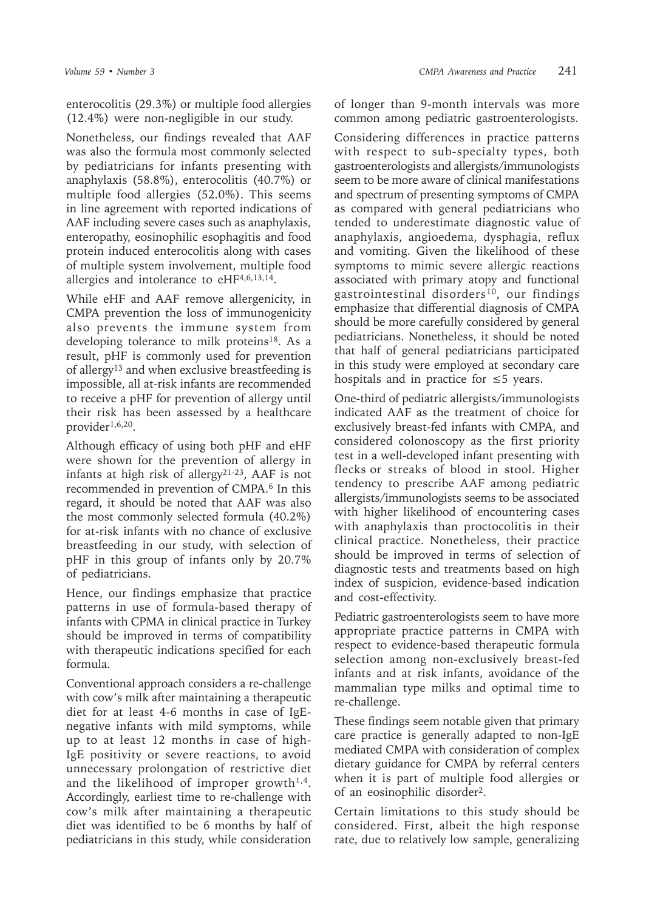enterocolitis (29.3%) or multiple food allergies (12.4%) were non-negligible in our study.

Nonetheless, our findings revealed that AAF was also the formula most commonly selected by pediatricians for infants presenting with anaphylaxis (58.8%), enterocolitis (40.7%) or multiple food allergies (52.0%). This seems in line agreement with reported indications of AAF including severe cases such as anaphylaxis, enteropathy, eosinophilic esophagitis and food protein induced enterocolitis along with cases of multiple system involvement, multiple food allergies and intolerance to eHF4,6,13,14.

While eHF and AAF remove allergenicity, in CMPA prevention the loss of immunogenicity also prevents the immune system from developing tolerance to milk proteins<sup>18</sup>. As a result, pHF is commonly used for prevention of allergy13 and when exclusive breastfeeding is impossible, all at-risk infants are recommended to receive a pHF for prevention of allergy until their risk has been assessed by a healthcare provider1,6,20.

Although efficacy of using both pHF and eHF were shown for the prevention of allergy in infants at high risk of allergy21-23, AAF is not recommended in prevention of CMPA.<sup>6</sup> In this regard, it should be noted that AAF was also the most commonly selected formula (40.2%) for at-risk infants with no chance of exclusive breastfeeding in our study, with selection of pHF in this group of infants only by 20.7% of pediatricians.

Hence, our findings emphasize that practice patterns in use of formula-based therapy of infants with CPMA in clinical practice in Turkey should be improved in terms of compatibility with therapeutic indications specified for each formula.

Conventional approach considers a re-challenge with cow's milk after maintaining a therapeutic diet for at least 4-6 months in case of IgEnegative infants with mild symptoms, while up to at least 12 months in case of high-IgE positivity or severe reactions, to avoid unnecessary prolongation of restrictive diet and the likelihood of improper growth $1,4$ . Accordingly, earliest time to re-challenge with cow's milk after maintaining a therapeutic diet was identified to be 6 months by half of pediatricians in this study, while consideration

of longer than 9-month intervals was more common among pediatric gastroenterologists.

Considering differences in practice patterns with respect to sub-specialty types, both gastroenterologists and allergists/immunologists seem to be more aware of clinical manifestations and spectrum of presenting symptoms of CMPA as compared with general pediatricians who tended to underestimate diagnostic value of anaphylaxis, angioedema, dysphagia, reflux and vomiting. Given the likelihood of these symptoms to mimic severe allergic reactions associated with primary atopy and functional gastrointestinal disorders<sup>10</sup>, our findings emphasize that differential diagnosis of CMPA should be more carefully considered by general pediatricians. Nonetheless, it should be noted that half of general pediatricians participated in this study were employed at secondary care hospitals and in practice for  $\leq$  5 years.

One-third of pediatric allergists/immunologists indicated AAF as the treatment of choice for exclusively breast-fed infants with CMPA, and considered colonoscopy as the first priority test in a well-developed infant presenting with flecks or streaks of blood in stool. Higher tendency to prescribe AAF among pediatric allergists/immunologists seems to be associated with higher likelihood of encountering cases with anaphylaxis than proctocolitis in their clinical practice. Nonetheless, their practice should be improved in terms of selection of diagnostic tests and treatments based on high index of suspicion, evidence-based indication and cost-effectivity.

Pediatric gastroenterologists seem to have more appropriate practice patterns in CMPA with respect to evidence-based therapeutic formula selection among non-exclusively breast-fed infants and at risk infants, avoidance of the mammalian type milks and optimal time to re-challenge.

These findings seem notable given that primary care practice is generally adapted to non-IgE mediated CMPA with consideration of complex dietary guidance for CMPA by referral centers when it is part of multiple food allergies or of an eosinophilic disorder2.

Certain limitations to this study should be considered. First, albeit the high response rate, due to relatively low sample, generalizing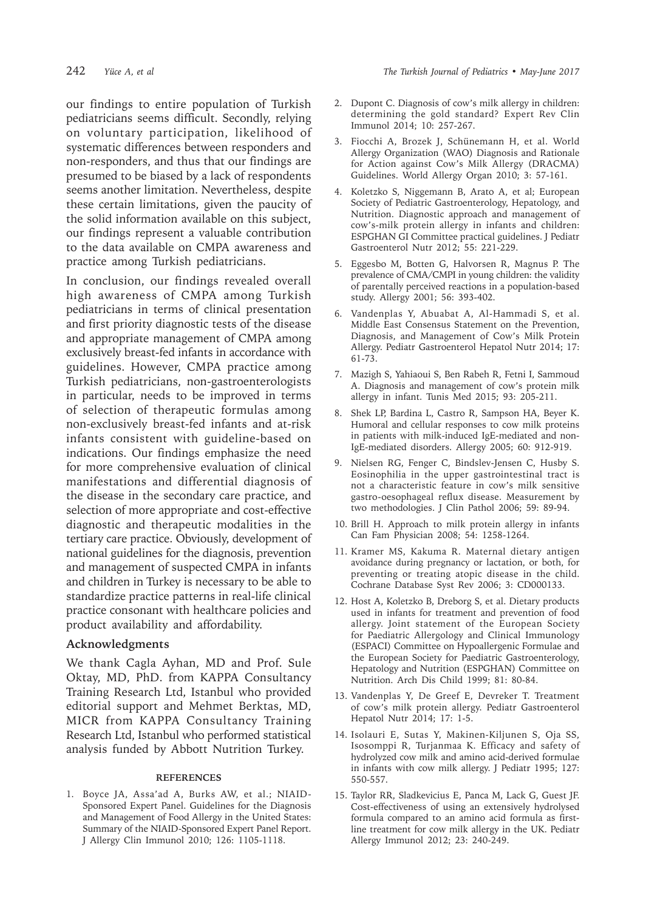our findings to entire population of Turkish pediatricians seems difficult. Secondly, relying on voluntary participation, likelihood of systematic differences between responders and non-responders, and thus that our findings are presumed to be biased by a lack of respondents seems another limitation. Nevertheless, despite these certain limitations, given the paucity of the solid information available on this subject, our findings represent a valuable contribution to the data available on CMPA awareness and practice among Turkish pediatricians.

In conclusion, our findings revealed overall high awareness of CMPA among Turkish pediatricians in terms of clinical presentation and first priority diagnostic tests of the disease and appropriate management of CMPA among exclusively breast-fed infants in accordance with guidelines. However, CMPA practice among Turkish pediatricians, non-gastroenterologists in particular, needs to be improved in terms of selection of therapeutic formulas among non-exclusively breast-fed infants and at-risk infants consistent with guideline-based on indications. Our findings emphasize the need for more comprehensive evaluation of clinical manifestations and differential diagnosis of the disease in the secondary care practice, and selection of more appropriate and cost-effective diagnostic and therapeutic modalities in the tertiary care practice. Obviously, development of national guidelines for the diagnosis, prevention and management of suspected CMPA in infants and children in Turkey is necessary to be able to standardize practice patterns in real-life clinical practice consonant with healthcare policies and product availability and affordability.

#### **Acknowledgments**

We thank Cagla Ayhan, MD and Prof. Sule Oktay, MD, PhD. from KAPPA Consultancy Training Research Ltd, Istanbul who provided editorial support and Mehmet Berktas, MD, MICR from KAPPA Consultancy Training Research Ltd, Istanbul who performed statistical analysis funded by Abbott Nutrition Turkey.

#### **REFERENCES**

1. Boyce JA, Assa'ad A, Burks AW, et al.; NIAID-Sponsored Expert Panel. Guidelines for the Diagnosis and Management of Food Allergy in the United States: Summary of the NIAID-Sponsored Expert Panel Report. J Allergy Clin Immunol 2010; 126: 1105-1118.

- 2. Dupont C. Diagnosis of cow's milk allergy in children: determining the gold standard? Expert Rev Clin Immunol 2014; 10: 257-267.
- 3. Fiocchi A, Brozek J, Schünemann H, et al. World Allergy Organization (WAO) Diagnosis and Rationale for Action against Cow's Milk Allergy (DRACMA) Guidelines. World Allergy Organ 2010; 3: 57-161.
- 4. Koletzko S, Niggemann B, Arato A, et al; European Society of Pediatric Gastroenterology, Hepatology, and Nutrition. Diagnostic approach and management of cow's-milk protein allergy in infants and children: ESPGHAN GI Committee practical guidelines. J Pediatr Gastroenterol Nutr 2012; 55: 221-229.
- 5. Eggesbo M, Botten G, Halvorsen R, Magnus P. The prevalence of CMA/CMPI in young children: the validity of parentally perceived reactions in a population-based study. Allergy 2001; 56: 393-402.
- 6. Vandenplas Y, Abuabat A, Al-Hammadi S, et al. Middle East Consensus Statement on the Prevention, Diagnosis, and Management of Cow's Milk Protein Allergy. Pediatr Gastroenterol Hepatol Nutr 2014; 17: 61-73.
- 7. Mazigh S, Yahiaoui S, Ben Rabeh R, Fetni I, Sammoud A. Diagnosis and management of cow's protein milk allergy in infant. Tunis Med 2015; 93: 205-211.
- 8. Shek LP, Bardina L, Castro R, Sampson HA, Beyer K. Humoral and cellular responses to cow milk proteins in patients with milk-induced IgE-mediated and non-IgE-mediated disorders. Allergy 2005; 60: 912-919.
- 9. Nielsen RG, Fenger C, Bindslev-Jensen C, Husby S. Eosinophilia in the upper gastrointestinal tract is not a characteristic feature in cow's milk sensitive gastro-oesophageal reflux disease. Measurement by two methodologies. J Clin Pathol 2006; 59: 89-94.
- 10. Brill H. Approach to milk protein allergy in infants Can Fam Physician 2008; 54: 1258-1264.
- 11. Kramer MS, Kakuma R. Maternal dietary antigen avoidance during pregnancy or lactation, or both, for preventing or treating atopic disease in the child. Cochrane Database Syst Rev 2006; 3: CD000133.
- 12. Host A, Koletzko B, Dreborg S, et al. Dietary products used in infants for treatment and prevention of food allergy. Joint statement of the European Society for Paediatric Allergology and Clinical Immunology (ESPACI) Committee on Hypoallergenic Formulae and the European Society for Paediatric Gastroenterology, Hepatology and Nutrition (ESPGHAN) Committee on Nutrition. Arch Dis Child 1999; 81: 80-84.
- 13. Vandenplas Y, De Greef E, Devreker T. Treatment of cow's milk protein allergy. Pediatr Gastroenterol Hepatol Nutr 2014; 17: 1-5.
- 14. Isolauri E, Sutas Y, Makinen-Kiljunen S, Oja SS, Isosomppi R, Turjanmaa K. Efficacy and safety of hydrolyzed cow milk and amino acid-derived formulae in infants with cow milk allergy. J Pediatr 1995; 127: 550-557.
- 15. Taylor RR, Sladkevicius E, Panca M, Lack G, Guest JF. Cost-effectiveness of using an extensively hydrolysed formula compared to an amino acid formula as firstline treatment for cow milk allergy in the UK. Pediatr Allergy Immunol 2012; 23: 240-249.